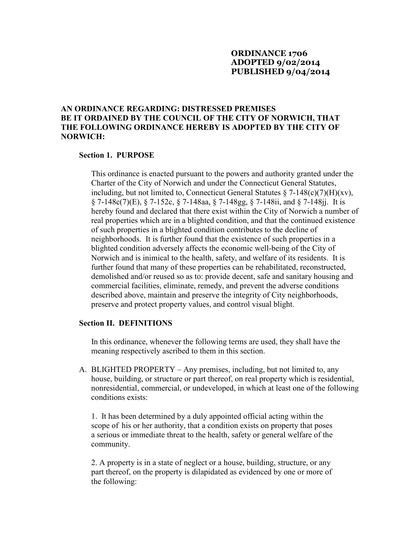# **ORDINANCE 1706 ADOPTED 9/02/2014 PUBLISHED 9/04/2014**

# **AN ORDINANCE REGARDING: DISTRESSED PREMISES BE IT ORDAINED BY THE COUNCIL OF THE CITY OF NORWICH, THAT THE FOLLOWING ORDINANCE HEREBY IS ADOPTED BY THE CITY OF NORWICH:**

#### **Section 1. PURPOSE**

 This ordinance is enacted pursuant to the powers and authority granted under the Charter of the City of Norwich and under the Connecticut General Statutes, including, but not limited to, Connecticut General Statutes  $\S$  7-148(c)(7)(H)(xv), § 7-148c(7)(E), § 7-152c, § 7-148aa, § 7-148gg, § 7-148ii, and § 7-148jj. It is hereby found and declared that there exist within the City of Norwich a number of real properties which are in a blighted condition, and that the continued existence of such properties in a blighted condition contributes to the decline of neighborhoods. It is further found that the existence of such properties in a blighted condition adversely affects the economic well-being of the City of Norwich and is inimical to the health, safety, and welfare of its residents. It is further found that many of these properties can be rehabilitated, reconstructed, demolished and/or reused so as to: provide decent, safe and sanitary housing and commercial facilities, eliminate, remedy, and prevent the adverse conditions described above, maintain and preserve the integrity of City neighborhoods, preserve and protect property values, and control visual blight.

#### **Section II. DEFINITIONS**

 In this ordinance, whenever the following terms are used, they shall have the meaning respectively ascribed to them in this section.

A. BLIGHTED PROPERTY – Any premises, including, but not limited to, any house, building, or structure or part thereof, on real property which is residential, nonresidential, commercial, or undeveloped, in which at least one of the following conditions exists:

 1. It has been determined by a duly appointed official acting within the scope of his or her authority, that a condition exists on property that poses a serious or immediate threat to the health, safety or general welfare of the community.

 2. A property is in a state of neglect or a house, building, structure, or any part thereof, on the property is dilapidated as evidenced by one or more of the following: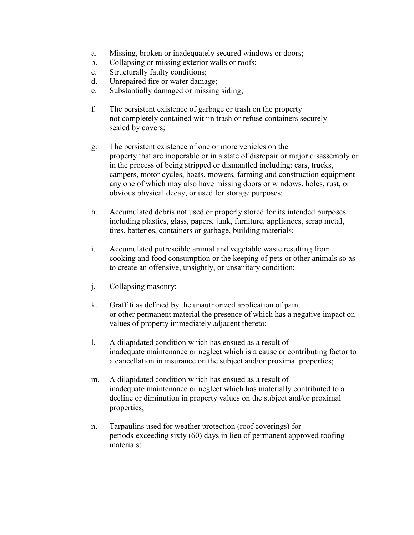- a. Missing, broken or inadequately secured windows or doors;
- b. Collapsing or missing exterior walls or roofs;
- c. Structurally faulty conditions;
- d. Unrepaired fire or water damage;
- e. Substantially damaged or missing siding;
- f. The persistent existence of garbage or trash on the property not completely contained within trash or refuse containers securely sealed by covers;
- g. The persistent existence of one or more vehicles on the property that are inoperable or in a state of disrepair or major disassembly or in the process of being stripped or dismantled including: cars, trucks, campers, motor cycles, boats, mowers, farming and construction equipment any one of which may also have missing doors or windows, holes, rust, or obvious physical decay, or used for storage purposes;
- h. Accumulated debris not used or properly stored for its intended purposes including plastics, glass, papers, junk, furniture, appliances, scrap metal, tires, batteries, containers or garbage, building materials;
- i. Accumulated putrescible animal and vegetable waste resulting from cooking and food consumption or the keeping of pets or other animals so as to create an offensive, unsightly, or unsanitary condition;
- j. Collapsing masonry;
- k. Graffiti as defined by the unauthorized application of paint or other permanent material the presence of which has a negative impact on values of property immediately adjacent thereto;
- l. A dilapidated condition which has ensued as a result of inadequate maintenance or neglect which is a cause or contributing factor to a cancellation in insurance on the subject and/or proximal properties;
- m. A dilapidated condition which has ensued as a result of inadequate maintenance or neglect which has materially contributed to a decline or diminution in property values on the subject and/or proximal properties;
- n. Tarpaulins used for weather protection (roof coverings) for periods exceeding sixty (60) days in lieu of permanent approved roofing materials;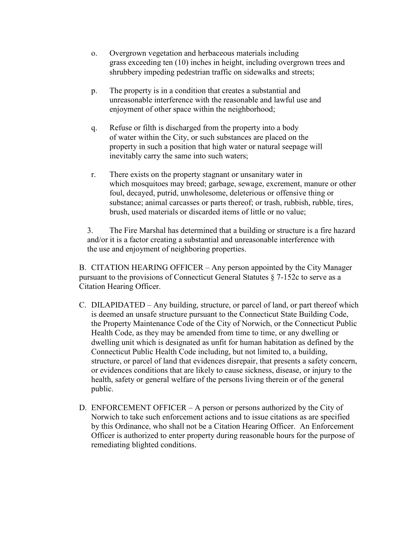- o. Overgrown vegetation and herbaceous materials including grass exceeding ten (10) inches in height, including overgrown trees and shrubbery impeding pedestrian traffic on sidewalks and streets;
- p. The property is in a condition that creates a substantial and unreasonable interference with the reasonable and lawful use and enjoyment of other space within the neighborhood;
- q. Refuse or filth is discharged from the property into a body of water within the City, or such substances are placed on the property in such a position that high water or natural seepage will inevitably carry the same into such waters;
- r. There exists on the property stagnant or unsanitary water in which mosquitoes may breed; garbage, sewage, excrement, manure or other foul, decayed, putrid, unwholesome, deleterious or offensive thing or substance; animal carcasses or parts thereof; or trash, rubbish, rubble, tires, brush, used materials or discarded items of little or no value;

 3. The Fire Marshal has determined that a building or structure is a fire hazard and/or it is a factor creating a substantial and unreasonable interference with the use and enjoyment of neighboring properties.

 B. CITATION HEARING OFFICER – Any person appointed by the City Manager pursuant to the provisions of Connecticut General Statutes § 7-152c to serve as a Citation Hearing Officer.

- C. DILAPIDATED Any building, structure, or parcel of land, or part thereof which is deemed an unsafe structure pursuant to the Connecticut State Building Code, the Property Maintenance Code of the City of Norwich, or the Connecticut Public Health Code, as they may be amended from time to time, or any dwelling or dwelling unit which is designated as unfit for human habitation as defined by the Connecticut Public Health Code including, but not limited to, a building, structure, or parcel of land that evidences disrepair, that presents a safety concern, or evidences conditions that are likely to cause sickness, disease, or injury to the health, safety or general welfare of the persons living therein or of the general public.
- D. ENFORCEMENT OFFICER A person or persons authorized by the City of Norwich to take such enforcement actions and to issue citations as are specified by this Ordinance, who shall not be a Citation Hearing Officer. An Enforcement Officer is authorized to enter property during reasonable hours for the purpose of remediating blighted conditions.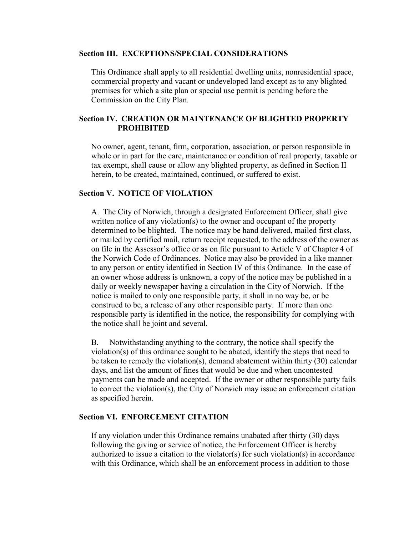#### **Section III. EXCEPTIONS/SPECIAL CONSIDERATIONS**

 This Ordinance shall apply to all residential dwelling units, nonresidential space, commercial property and vacant or undeveloped land except as to any blighted premises for which a site plan or special use permit is pending before the Commission on the City Plan.

# **Section IV. CREATION OR MAINTENANCE OF BLIGHTED PROPERTY PROHIBITED**

 No owner, agent, tenant, firm, corporation, association, or person responsible in whole or in part for the care, maintenance or condition of real property, taxable or tax exempt, shall cause or allow any blighted property, as defined in Section II herein, to be created, maintained, continued, or suffered to exist.

#### **Section V. NOTICE OF VIOLATION**

 A. The City of Norwich, through a designated Enforcement Officer, shall give written notice of any violation(s) to the owner and occupant of the property determined to be blighted. The notice may be hand delivered, mailed first class, or mailed by certified mail, return receipt requested, to the address of the owner as on file in the Assessor's office or as on file pursuant to Article V of Chapter 4 of the Norwich Code of Ordinances. Notice may also be provided in a like manner to any person or entity identified in Section IV of this Ordinance. In the case of an owner whose address is unknown, a copy of the notice may be published in a daily or weekly newspaper having a circulation in the City of Norwich. If the notice is mailed to only one responsible party, it shall in no way be, or be construed to be, a release of any other responsible party. If more than one responsible party is identified in the notice, the responsibility for complying with the notice shall be joint and several.

 B. Notwithstanding anything to the contrary, the notice shall specify the violation(s) of this ordinance sought to be abated, identify the steps that need to be taken to remedy the violation(s), demand abatement within thirty (30) calendar days, and list the amount of fines that would be due and when uncontested payments can be made and accepted. If the owner or other responsible party fails to correct the violation(s), the City of Norwich may issue an enforcement citation as specified herein.

### **Section VI. ENFORCEMENT CITATION**

 If any violation under this Ordinance remains unabated after thirty (30) days following the giving or service of notice, the Enforcement Officer is hereby authorized to issue a citation to the violator(s) for such violation(s) in accordance with this Ordinance, which shall be an enforcement process in addition to those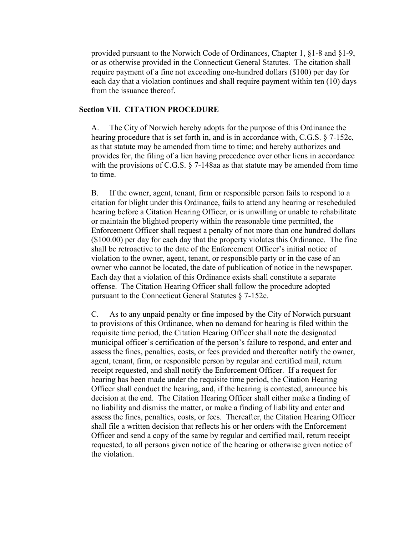provided pursuant to the Norwich Code of Ordinances, Chapter 1, §1-8 and §1-9, or as otherwise provided in the Connecticut General Statutes. The citation shall require payment of a fine not exceeding one-hundred dollars (\$100) per day for each day that a violation continues and shall require payment within ten (10) days from the issuance thereof.

#### **Section VII. CITATION PROCEDURE**

 A. The City of Norwich hereby adopts for the purpose of this Ordinance the hearing procedure that is set forth in, and is in accordance with, C.G.S. § 7-152c, as that statute may be amended from time to time; and hereby authorizes and provides for, the filing of a lien having precedence over other liens in accordance with the provisions of C.G.S. § 7-148aa as that statute may be amended from time to time.

 B. If the owner, agent, tenant, firm or responsible person fails to respond to a citation for blight under this Ordinance, fails to attend any hearing or rescheduled hearing before a Citation Hearing Officer, or is unwilling or unable to rehabilitate or maintain the blighted property within the reasonable time permitted, the Enforcement Officer shall request a penalty of not more than one hundred dollars (\$100.00) per day for each day that the property violates this Ordinance. The fine shall be retroactive to the date of the Enforcement Officer's initial notice of violation to the owner, agent, tenant, or responsible party or in the case of an owner who cannot be located, the date of publication of notice in the newspaper. Each day that a violation of this Ordinance exists shall constitute a separate offense. The Citation Hearing Officer shall follow the procedure adopted pursuant to the Connecticut General Statutes § 7-152c.

 C. As to any unpaid penalty or fine imposed by the City of Norwich pursuant to provisions of this Ordinance, when no demand for hearing is filed within the requisite time period, the Citation Hearing Officer shall note the designated municipal officer's certification of the person's failure to respond, and enter and assess the fines, penalties, costs, or fees provided and thereafter notify the owner, agent, tenant, firm, or responsible person by regular and certified mail, return receipt requested, and shall notify the Enforcement Officer. If a request for hearing has been made under the requisite time period, the Citation Hearing Officer shall conduct the hearing, and, if the hearing is contested, announce his decision at the end. The Citation Hearing Officer shall either make a finding of no liability and dismiss the matter, or make a finding of liability and enter and assess the fines, penalties, costs, or fees. Thereafter, the Citation Hearing Officer shall file a written decision that reflects his or her orders with the Enforcement Officer and send a copy of the same by regular and certified mail, return receipt requested, to all persons given notice of the hearing or otherwise given notice of the violation.